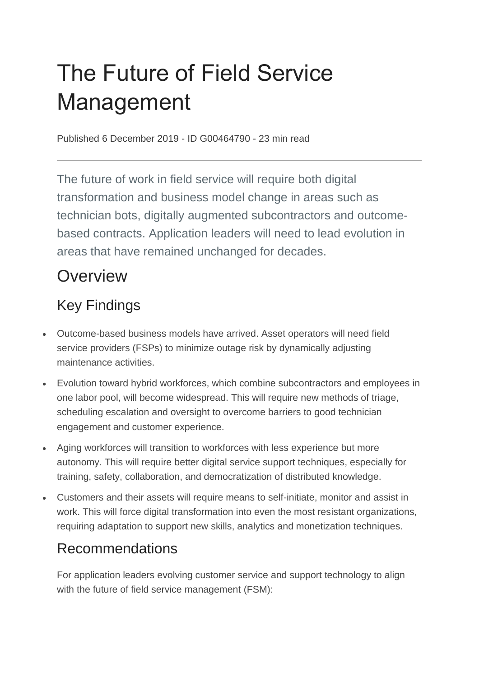# The Future of Field Service Management

Published 6 December 2019 - ID G00464790 - 23 min read

The future of work in field service will require both digital transformation and business model change in areas such as technician bots, digitally augmented subcontractors and outcomebased contracts. Application leaders will need to lead evolution in areas that have remained unchanged for decades.

# **Overview**

# Key Findings

- Outcome-based business models have arrived. Asset operators will need field service providers (FSPs) to minimize outage risk by dynamically adjusting maintenance activities.
- Evolution toward hybrid workforces, which combine subcontractors and employees in one labor pool, will become widespread. This will require new methods of triage, scheduling escalation and oversight to overcome barriers to good technician engagement and customer experience.
- Aging workforces will transition to workforces with less experience but more autonomy. This will require better digital service support techniques, especially for training, safety, collaboration, and democratization of distributed knowledge.
- Customers and their assets will require means to self-initiate, monitor and assist in work. This will force digital transformation into even the most resistant organizations, requiring adaptation to support new skills, analytics and monetization techniques.

### Recommendations

For application leaders evolving customer service and support technology to align with the future of field service management (FSM):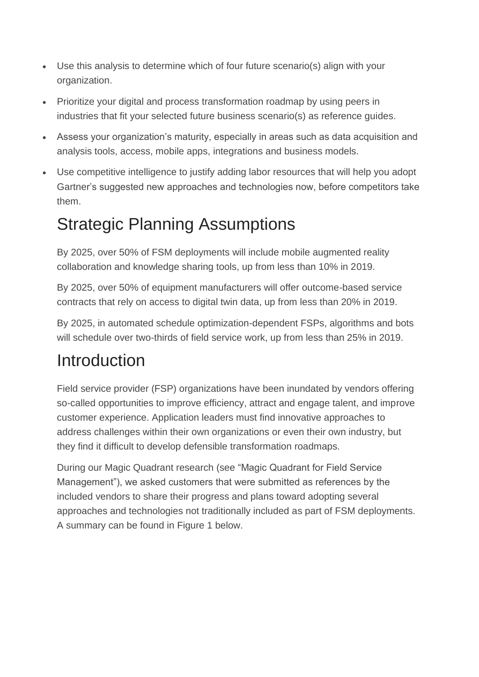- Use this analysis to determine which of four future scenario(s) align with your organization.
- Prioritize your digital and process transformation roadmap by using peers in industries that fit your selected future business scenario(s) as reference guides.
- Assess your organization's maturity, especially in areas such as data acquisition and analysis tools, access, mobile apps, integrations and business models.
- Use competitive intelligence to justify adding labor resources that will help you adopt Gartner's suggested new approaches and technologies now, before competitors take them.

# Strategic Planning Assumptions

By 2025, over 50% of FSM deployments will include mobile augmented reality collaboration and knowledge sharing tools, up from less than 10% in 2019.

By 2025, over 50% of equipment manufacturers will offer outcome-based service contracts that rely on access to digital twin data, up from less than 20% in 2019.

By 2025, in automated schedule optimization-dependent FSPs, algorithms and bots will schedule over two-thirds of field service work, up from less than 25% in 2019.

# **Introduction**

Field service provider (FSP) organizations have been inundated by vendors offering so-called opportunities to improve efficiency, attract and engage talent, and improve customer experience. Application leaders must find innovative approaches to address challenges within their own organizations or even their own industry, but they find it difficult to develop defensible transformation roadmaps.

During our Magic Quadrant research (see "Magic Quadrant for Field Service Management"), we asked customers that were submitted as references by the included vendors to share their progress and plans toward adopting several approaches and technologies not traditionally included as part of FSM deployments. A summary can be found in Figure 1 below.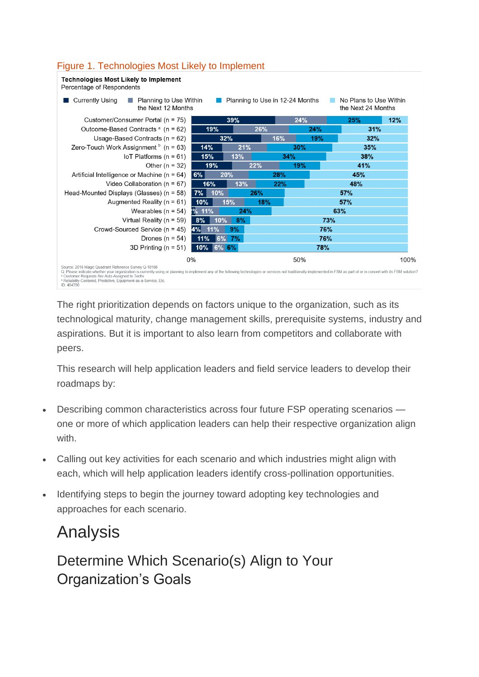#### Figure 1. Technologies Most Likely to Implement



The right prioritization depends on factors unique to the organization, such as its technological maturity, change management skills, prerequisite systems, industry and aspirations. But it is important to also learn from competitors and collaborate with peers.

This research will help application leaders and field service leaders to develop their roadmaps by:

- Describing common characteristics across four future FSP operating scenarios one or more of which application leaders can help their respective organization align with
- Calling out key activities for each scenario and which industries might align with each, which will help application leaders identify cross-pollination opportunities.
- Identifying steps to begin the journey toward adopting key technologies and approaches for each scenario.

# Analysis

Determine Which Scenario(s) Align to Your Organization's Goals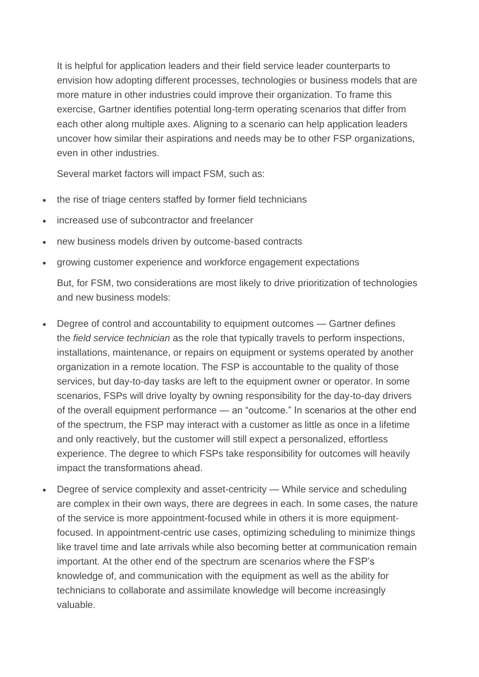It is helpful for application leaders and their field service leader counterparts to envision how adopting different processes, technologies or business models that are more mature in other industries could improve their organization. To frame this exercise, Gartner identifies potential long-term operating scenarios that differ from each other along multiple axes. Aligning to a scenario can help application leaders uncover how similar their aspirations and needs may be to other FSP organizations, even in other industries.

Several market factors will impact FSM, such as:

- the rise of triage centers staffed by former field technicians
- increased use of subcontractor and freelancer
- new business models driven by outcome-based contracts
- growing customer experience and workforce engagement expectations

But, for FSM, two considerations are most likely to drive prioritization of technologies and new business models:

- Degree of control and accountability to equipment outcomes Gartner defines the *field service technician* as the role that typically travels to perform inspections, installations, maintenance, or repairs on equipment or systems operated by another organization in a remote location. The FSP is accountable to the quality of those services, but day-to-day tasks are left to the equipment owner or operator. In some scenarios, FSPs will drive loyalty by owning responsibility for the day-to-day drivers of the overall equipment performance — an "outcome." In scenarios at the other end of the spectrum, the FSP may interact with a customer as little as once in a lifetime and only reactively, but the customer will still expect a personalized, effortless experience. The degree to which FSPs take responsibility for outcomes will heavily impact the transformations ahead.
- Degree of service complexity and asset-centricity While service and scheduling are complex in their own ways, there are degrees in each. In some cases, the nature of the service is more appointment-focused while in others it is more equipmentfocused. In appointment-centric use cases, optimizing scheduling to minimize things like travel time and late arrivals while also becoming better at communication remain important. At the other end of the spectrum are scenarios where the FSP's knowledge of, and communication with the equipment as well as the ability for technicians to collaborate and assimilate knowledge will become increasingly valuable.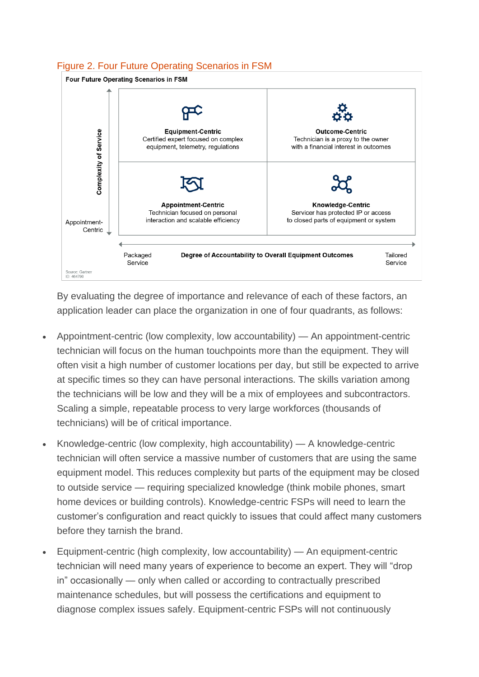#### Figure 2. Four Future Operating Scenarios in FSM



By evaluating the degree of importance and relevance of each of these factors, an application leader can place the organization in one of four quadrants, as follows:

- Appointment-centric (low complexity, low accountability) An appointment-centric technician will focus on the human touchpoints more than the equipment. They will often visit a high number of customer locations per day, but still be expected to arrive at specific times so they can have personal interactions. The skills variation among the technicians will be low and they will be a mix of employees and subcontractors. Scaling a simple, repeatable process to very large workforces (thousands of technicians) will be of critical importance.
- Knowledge-centric (low complexity, high accountability)  $A$  knowledge-centric technician will often service a massive number of customers that are using the same equipment model. This reduces complexity but parts of the equipment may be closed to outside service — requiring specialized knowledge (think mobile phones, smart home devices or building controls). Knowledge-centric FSPs will need to learn the customer's configuration and react quickly to issues that could affect many customers before they tarnish the brand.
- Equipment-centric (high complexity, low accountability) An equipment-centric technician will need many years of experience to become an expert. They will "drop in" occasionally — only when called or according to contractually prescribed maintenance schedules, but will possess the certifications and equipment to diagnose complex issues safely. Equipment-centric FSPs will not continuously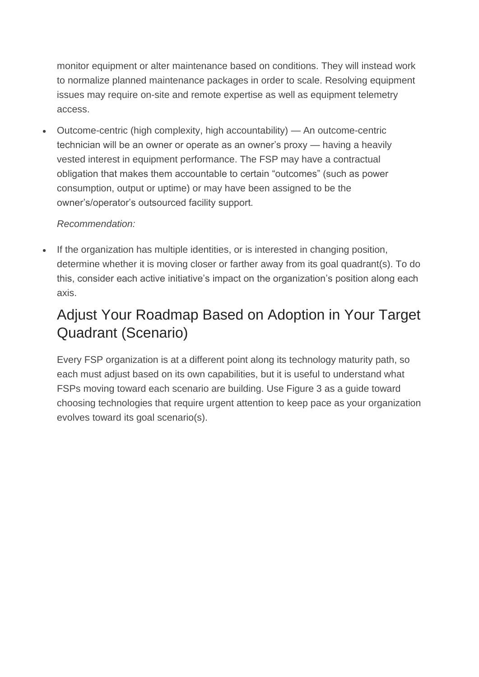monitor equipment or alter maintenance based on conditions. They will instead work to normalize planned maintenance packages in order to scale. Resolving equipment issues may require on-site and remote expertise as well as equipment telemetry access.

• Outcome-centric (high complexity, high accountability) — An outcome-centric technician will be an owner or operate as an owner's proxy — having a heavily vested interest in equipment performance. The FSP may have a contractual obligation that makes them accountable to certain "outcomes" (such as power consumption, output or uptime) or may have been assigned to be the owner's/operator's outsourced facility support.

#### *Recommendation:*

If the organization has multiple identities, or is interested in changing position, determine whether it is moving closer or farther away from its goal quadrant(s). To do this, consider each active initiative's impact on the organization's position along each axis.

### Adjust Your Roadmap Based on Adoption in Your Target Quadrant (Scenario)

Every FSP organization is at a different point along its technology maturity path, so each must adjust based on its own capabilities, but it is useful to understand what FSPs moving toward each scenario are building. Use Figure 3 as a guide toward choosing technologies that require urgent attention to keep pace as your organization evolves toward its goal scenario(s).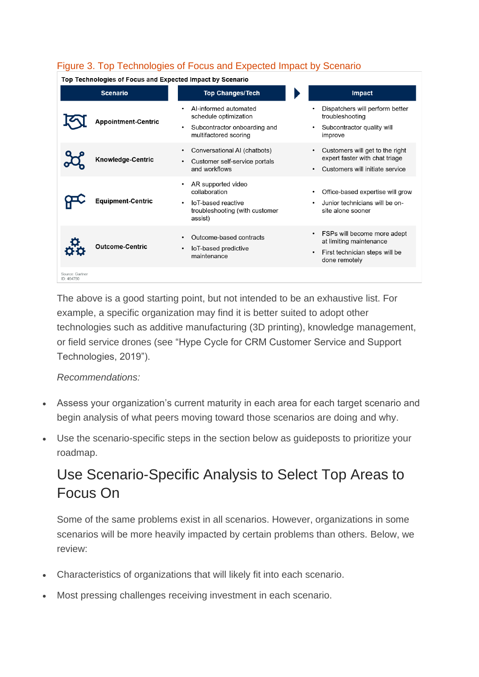#### Figure 3. Top Technologies of Focus and Expected Impact by Scenario

Top Technologies of Focus and Expected Impact by Scenario

|                               | <b>Scenario</b>            | <b>Top Changes/Tech</b>                                                                                              | Impact                                                                                                    |
|-------------------------------|----------------------------|----------------------------------------------------------------------------------------------------------------------|-----------------------------------------------------------------------------------------------------------|
|                               | <b>Appointment-Centric</b> | Al-informed automated<br>schedule optimization<br>Subcontractor onboarding and<br>$\bullet$<br>multifactored scoring | Dispatchers will perform better<br>troubleshooting<br>Subcontractor quality will<br>improve               |
|                               | <b>Knowledge-Centric</b>   | Conversational AI (chatbots)<br>$\bullet$<br>Customer self-service portals<br>and workflows                          | Customers will get to the right<br>expert faster with chat triage<br>Customers will initiate service      |
|                               | <b>Equipment-Centric</b>   | AR supported video<br>collaboration<br>IoT-based reactive<br>troubleshooting (with customer<br>assist)               | Office-based expertise will grow<br>Junior technicians will be on-<br>site alone sooner                   |
|                               | <b>Outcome-Centric</b>     | Outcome-based contracts<br>IoT-based predictive<br>maintenance                                                       | FSPs will become more adept<br>at limiting maintenance<br>First technician steps will be<br>done remotely |
| Source: Gartner<br>ID: 464790 |                            |                                                                                                                      |                                                                                                           |

The above is a good starting point, but not intended to be an exhaustive list. For example, a specific organization may find it is better suited to adopt other technologies such as additive manufacturing (3D printing), knowledge management, or field service drones (see "Hype Cycle for CRM Customer Service and Support Technologies, 2019").

#### *Recommendations:*

- Assess your organization's current maturity in each area for each target scenario and begin analysis of what peers moving toward those scenarios are doing and why.
- Use the scenario-specific steps in the section below as guideposts to prioritize your roadmap.

### Use Scenario-Specific Analysis to Select Top Areas to Focus On

Some of the same problems exist in all scenarios. However, organizations in some scenarios will be more heavily impacted by certain problems than others. Below, we review:

- Characteristics of organizations that will likely fit into each scenario.
- Most pressing challenges receiving investment in each scenario.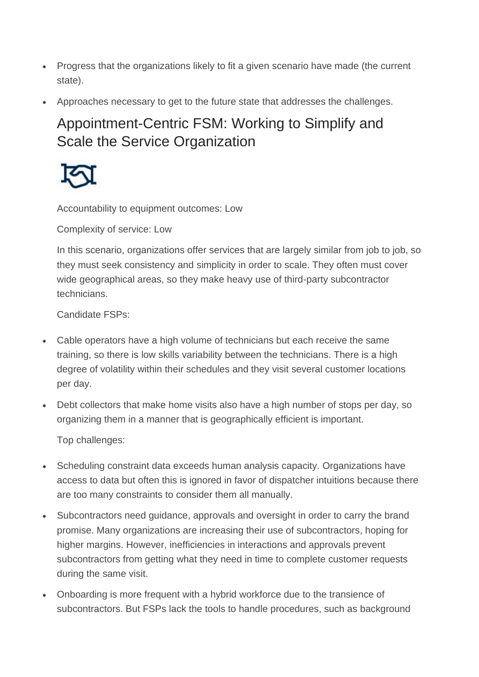- Progress that the organizations likely to fit a given scenario have made (the current state).
- Approaches necessary to get to the future state that addresses the challenges.

# Appointment-Centric FSM: Working to Simplify and Scale the Service Organization



Accountability to equipment outcomes: Low

Complexity of service: Low

In this scenario, organizations offer services that are largely similar from job to job, so they must seek consistency and simplicity in order to scale. They often must cover wide geographical areas, so they make heavy use of third-party subcontractor technicians.

Candidate FSPs:

- Cable operators have a high volume of technicians but each receive the same training, so there is low skills variability between the technicians. There is a high degree of volatility within their schedules and they visit several customer locations per day.
- Debt collectors that make home visits also have a high number of stops per day, so organizing them in a manner that is geographically efficient is important.

Top challenges:

- Scheduling constraint data exceeds human analysis capacity. Organizations have access to data but often this is ignored in favor of dispatcher intuitions because there are too many constraints to consider them all manually.
- Subcontractors need guidance, approvals and oversight in order to carry the brand promise. Many organizations are increasing their use of subcontractors, hoping for higher margins. However, inefficiencies in interactions and approvals prevent subcontractors from getting what they need in time to complete customer requests during the same visit.
- Onboarding is more frequent with a hybrid workforce due to the transience of subcontractors. But FSPs lack the tools to handle procedures, such as background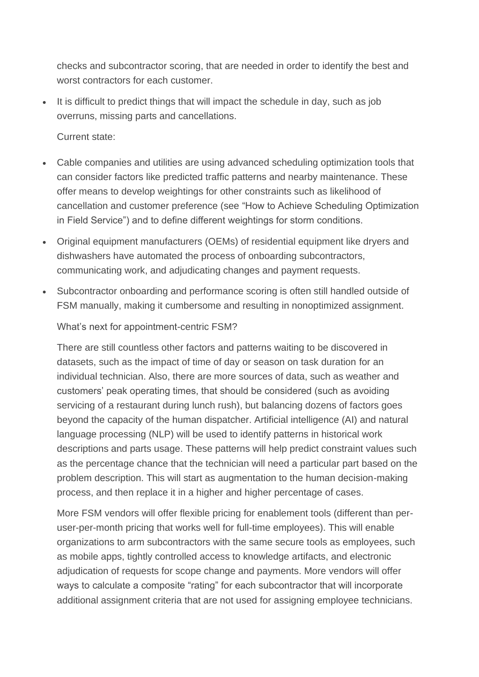checks and subcontractor scoring, that are needed in order to identify the best and worst contractors for each customer.

• It is difficult to predict things that will impact the schedule in day, such as job overruns, missing parts and cancellations.

Current state:

- Cable companies and utilities are using advanced scheduling optimization tools that can consider factors like predicted traffic patterns and nearby maintenance. These offer means to develop weightings for other constraints such as likelihood of cancellation and customer preference (see "How to Achieve Scheduling Optimization in Field Service") and to define different weightings for storm conditions.
- Original equipment manufacturers (OEMs) of residential equipment like dryers and dishwashers have automated the process of onboarding subcontractors, communicating work, and adjudicating changes and payment requests.
- Subcontractor onboarding and performance scoring is often still handled outside of FSM manually, making it cumbersome and resulting in nonoptimized assignment.

What's next for appointment-centric FSM?

There are still countless other factors and patterns waiting to be discovered in datasets, such as the impact of time of day or season on task duration for an individual technician. Also, there are more sources of data, such as weather and customers' peak operating times, that should be considered (such as avoiding servicing of a restaurant during lunch rush), but balancing dozens of factors goes beyond the capacity of the human dispatcher. Artificial intelligence (AI) and natural language processing (NLP) will be used to identify patterns in historical work descriptions and parts usage. These patterns will help predict constraint values such as the percentage chance that the technician will need a particular part based on the problem description. This will start as augmentation to the human decision-making process, and then replace it in a higher and higher percentage of cases.

More FSM vendors will offer flexible pricing for enablement tools (different than peruser-per-month pricing that works well for full-time employees). This will enable organizations to arm subcontractors with the same secure tools as employees, such as mobile apps, tightly controlled access to knowledge artifacts, and electronic adjudication of requests for scope change and payments. More vendors will offer ways to calculate a composite "rating" for each subcontractor that will incorporate additional assignment criteria that are not used for assigning employee technicians.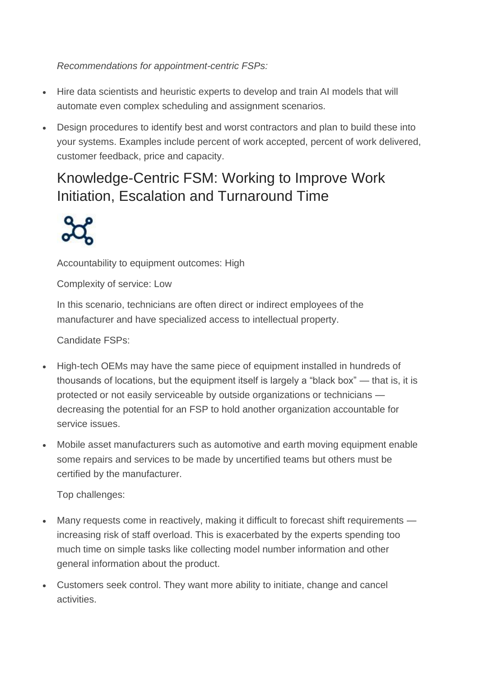#### *Recommendations for appointment-centric FSPs:*

- Hire data scientists and heuristic experts to develop and train AI models that will automate even complex scheduling and assignment scenarios.
- Design procedures to identify best and worst contractors and plan to build these into your systems. Examples include percent of work accepted, percent of work delivered, customer feedback, price and capacity.

### Knowledge-Centric FSM: Working to Improve Work Initiation, Escalation and Turnaround Time



Accountability to equipment outcomes: High

Complexity of service: Low

In this scenario, technicians are often direct or indirect employees of the manufacturer and have specialized access to intellectual property.

Candidate FSPs:

- High-tech OEMs may have the same piece of equipment installed in hundreds of thousands of locations, but the equipment itself is largely a "black box" — that is, it is protected or not easily serviceable by outside organizations or technicians decreasing the potential for an FSP to hold another organization accountable for service issues.
- Mobile asset manufacturers such as automotive and earth moving equipment enable some repairs and services to be made by uncertified teams but others must be certified by the manufacturer.

Top challenges:

- Many requests come in reactively, making it difficult to forecast shift requirements increasing risk of staff overload. This is exacerbated by the experts spending too much time on simple tasks like collecting model number information and other general information about the product.
- Customers seek control. They want more ability to initiate, change and cancel activities.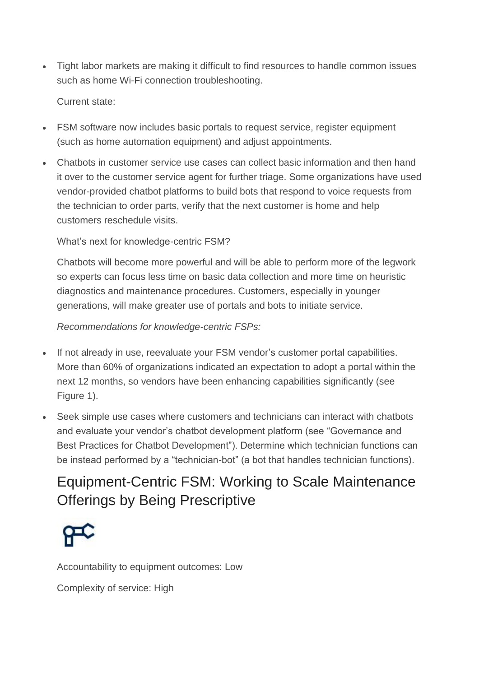• Tight labor markets are making it difficult to find resources to handle common issues such as home Wi-Fi connection troubleshooting.

Current state:

- FSM software now includes basic portals to request service, register equipment (such as home automation equipment) and adjust appointments.
- Chatbots in customer service use cases can collect basic information and then hand it over to the customer service agent for further triage. Some organizations have used vendor-provided chatbot platforms to build bots that respond to voice requests from the technician to order parts, verify that the next customer is home and help customers reschedule visits.

What's next for knowledge-centric FSM?

Chatbots will become more powerful and will be able to perform more of the legwork so experts can focus less time on basic data collection and more time on heuristic diagnostics and maintenance procedures. Customers, especially in younger generations, will make greater use of portals and bots to initiate service.

*Recommendations for knowledge-centric FSPs:*

- If not already in use, reevaluate your FSM vendor's customer portal capabilities. More than 60% of organizations indicated an expectation to adopt a portal within the next 12 months, so vendors have been enhancing capabilities significantly (see Figure 1).
- Seek simple use cases where customers and technicians can interact with chatbots and evaluate your vendor's chatbot development platform (see "Governance and Best Practices for Chatbot Development"). Determine which technician functions can be instead performed by a "technician-bot" (a bot that handles technician functions).

### Equipment-Centric FSM: Working to Scale Maintenance Offerings by Being Prescriptive



Accountability to equipment outcomes: Low

Complexity of service: High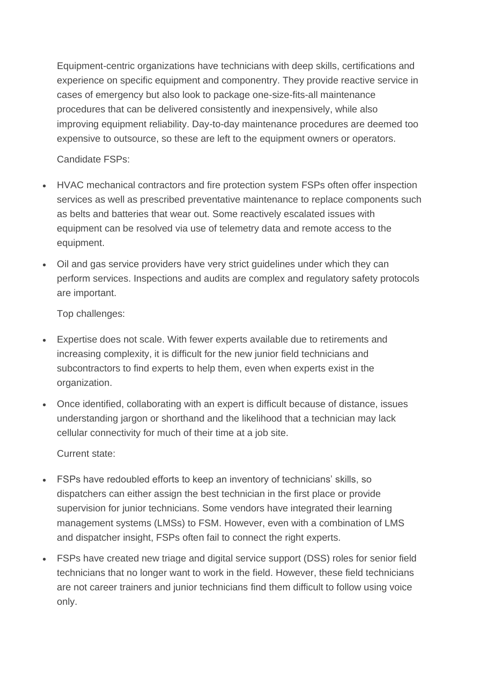Equipment-centric organizations have technicians with deep skills, certifications and experience on specific equipment and componentry. They provide reactive service in cases of emergency but also look to package one-size-fits-all maintenance procedures that can be delivered consistently and inexpensively, while also improving equipment reliability. Day-to-day maintenance procedures are deemed too expensive to outsource, so these are left to the equipment owners or operators.

Candidate FSPs:

- HVAC mechanical contractors and fire protection system FSPs often offer inspection services as well as prescribed preventative maintenance to replace components such as belts and batteries that wear out. Some reactively escalated issues with equipment can be resolved via use of telemetry data and remote access to the equipment.
- Oil and gas service providers have very strict guidelines under which they can perform services. Inspections and audits are complex and regulatory safety protocols are important.

Top challenges:

- Expertise does not scale. With fewer experts available due to retirements and increasing complexity, it is difficult for the new junior field technicians and subcontractors to find experts to help them, even when experts exist in the organization.
- Once identified, collaborating with an expert is difficult because of distance, issues understanding jargon or shorthand and the likelihood that a technician may lack cellular connectivity for much of their time at a job site.

Current state:

- FSPs have redoubled efforts to keep an inventory of technicians' skills, so dispatchers can either assign the best technician in the first place or provide supervision for junior technicians. Some vendors have integrated their learning management systems (LMSs) to FSM. However, even with a combination of LMS and dispatcher insight, FSPs often fail to connect the right experts.
- FSPs have created new triage and digital service support (DSS) roles for senior field technicians that no longer want to work in the field. However, these field technicians are not career trainers and junior technicians find them difficult to follow using voice only.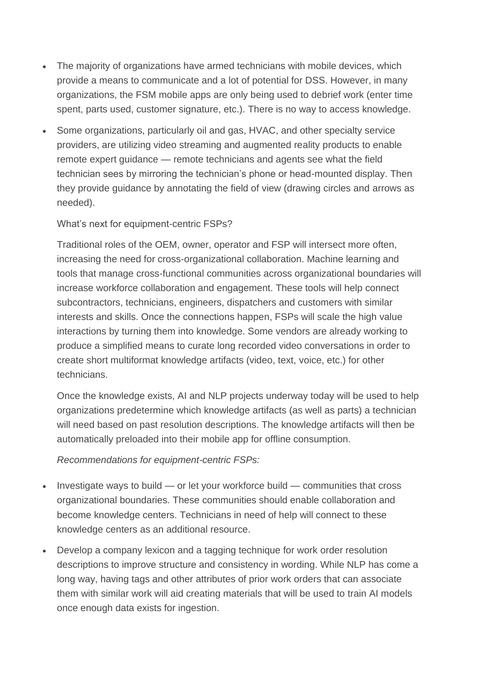- The majority of organizations have armed technicians with mobile devices, which provide a means to communicate and a lot of potential for DSS. However, in many organizations, the FSM mobile apps are only being used to debrief work (enter time spent, parts used, customer signature, etc.). There is no way to access knowledge.
- Some organizations, particularly oil and gas, HVAC, and other specialty service providers, are utilizing video streaming and augmented reality products to enable remote expert guidance — remote technicians and agents see what the field technician sees by mirroring the technician's phone or head-mounted display. Then they provide guidance by annotating the field of view (drawing circles and arrows as needed).

What's next for equipment-centric FSPs?

Traditional roles of the OEM, owner, operator and FSP will intersect more often, increasing the need for cross-organizational collaboration. Machine learning and tools that manage cross-functional communities across organizational boundaries will increase workforce collaboration and engagement. These tools will help connect subcontractors, technicians, engineers, dispatchers and customers with similar interests and skills. Once the connections happen, FSPs will scale the high value interactions by turning them into knowledge. Some vendors are already working to produce a simplified means to curate long recorded video conversations in order to create short multiformat knowledge artifacts (video, text, voice, etc.) for other technicians.

Once the knowledge exists, AI and NLP projects underway today will be used to help organizations predetermine which knowledge artifacts (as well as parts) a technician will need based on past resolution descriptions. The knowledge artifacts will then be automatically preloaded into their mobile app for offline consumption.

*Recommendations for equipment-centric FSPs:*

- Investigate ways to build or let your workforce build communities that cross organizational boundaries. These communities should enable collaboration and become knowledge centers. Technicians in need of help will connect to these knowledge centers as an additional resource.
- Develop a company lexicon and a tagging technique for work order resolution descriptions to improve structure and consistency in wording. While NLP has come a long way, having tags and other attributes of prior work orders that can associate them with similar work will aid creating materials that will be used to train AI models once enough data exists for ingestion.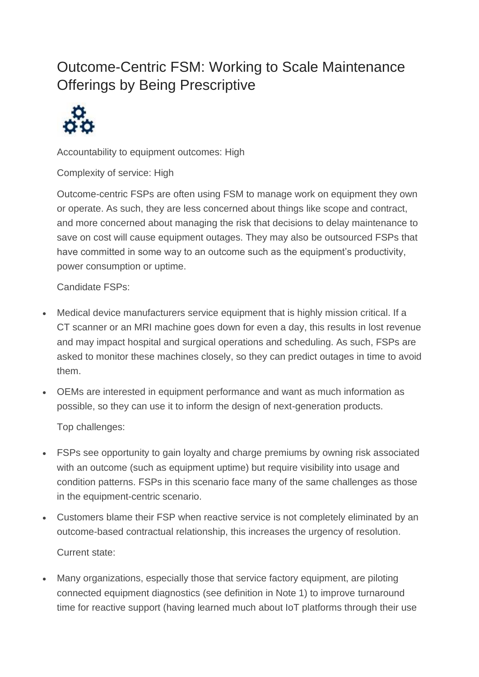## Outcome-Centric FSM: Working to Scale Maintenance Offerings by Being Prescriptive



Accountability to equipment outcomes: High

Complexity of service: High

Outcome-centric FSPs are often using FSM to manage work on equipment they own or operate. As such, they are less concerned about things like scope and contract, and more concerned about managing the risk that decisions to delay maintenance to save on cost will cause equipment outages. They may also be outsourced FSPs that have committed in some way to an outcome such as the equipment's productivity, power consumption or uptime.

Candidate FSPs:

- Medical device manufacturers service equipment that is highly mission critical. If a CT scanner or an MRI machine goes down for even a day, this results in lost revenue and may impact hospital and surgical operations and scheduling. As such, FSPs are asked to monitor these machines closely, so they can predict outages in time to avoid them.
- OEMs are interested in equipment performance and want as much information as possible, so they can use it to inform the design of next-generation products.

Top challenges:

- FSPs see opportunity to gain loyalty and charge premiums by owning risk associated with an outcome (such as equipment uptime) but require visibility into usage and condition patterns. FSPs in this scenario face many of the same challenges as those in the equipment-centric scenario.
- Customers blame their FSP when reactive service is not completely eliminated by an outcome-based contractual relationship, this increases the urgency of resolution. Current state:
- Many organizations, especially those that service factory equipment, are piloting connected equipment diagnostics (see definition in Note 1) to improve turnaround time for reactive support (having learned much about IoT platforms through their use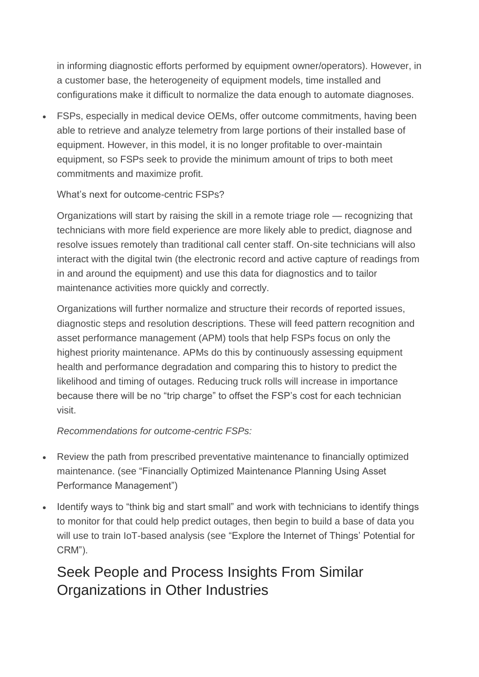in informing diagnostic efforts performed by equipment owner/operators). However, in a customer base, the heterogeneity of equipment models, time installed and configurations make it difficult to normalize the data enough to automate diagnoses.

• FSPs, especially in medical device OEMs, offer outcome commitments, having been able to retrieve and analyze telemetry from large portions of their installed base of equipment. However, in this model, it is no longer profitable to over-maintain equipment, so FSPs seek to provide the minimum amount of trips to both meet commitments and maximize profit.

#### What's next for outcome-centric FSPs?

Organizations will start by raising the skill in a remote triage role — recognizing that technicians with more field experience are more likely able to predict, diagnose and resolve issues remotely than traditional call center staff. On-site technicians will also interact with the digital twin (the electronic record and active capture of readings from in and around the equipment) and use this data for diagnostics and to tailor maintenance activities more quickly and correctly.

Organizations will further normalize and structure their records of reported issues, diagnostic steps and resolution descriptions. These will feed pattern recognition and asset performance management (APM) tools that help FSPs focus on only the highest priority maintenance. APMs do this by continuously assessing equipment health and performance degradation and comparing this to history to predict the likelihood and timing of outages. Reducing truck rolls will increase in importance because there will be no "trip charge" to offset the FSP's cost for each technician visit.

#### *Recommendations for outcome-centric FSPs:*

- Review the path from prescribed preventative maintenance to financially optimized maintenance. (see "Financially Optimized Maintenance Planning Using Asset Performance Management")
- Identify ways to "think big and start small" and work with technicians to identify things to monitor for that could help predict outages, then begin to build a base of data you will use to train IoT-based analysis (see "Explore the Internet of Things' Potential for CRM").

### Seek People and Process Insights From Similar Organizations in Other Industries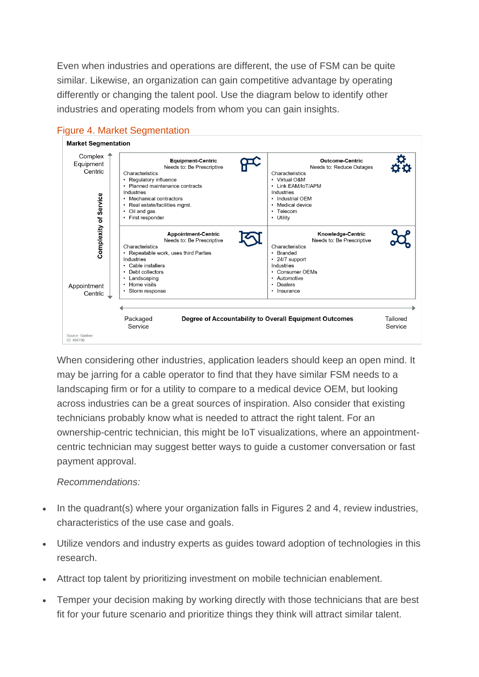Even when industries and operations are different, the use of FSM can be quite similar. Likewise, an organization can gain competitive advantage by operating differently or changing the talent pool. Use the diagram below to identify other industries and operating models from whom you can gain insights.



#### Figure 4. Market Segmentation

When considering other industries, application leaders should keep an open mind. It may be jarring for a cable operator to find that they have similar FSM needs to a landscaping firm or for a utility to compare to a medical device OEM, but looking across industries can be a great sources of inspiration. Also consider that existing technicians probably know what is needed to attract the right talent. For an ownership-centric technician, this might be IoT visualizations, where an appointmentcentric technician may suggest better ways to guide a customer conversation or fast payment approval.

#### *Recommendations:*

- In the quadrant(s) where your organization falls in Figures 2 and 4, review industries, characteristics of the use case and goals.
- Utilize vendors and industry experts as guides toward adoption of technologies in this research.
- Attract top talent by prioritizing investment on mobile technician enablement.
- Temper your decision making by working directly with those technicians that are best fit for your future scenario and prioritize things they think will attract similar talent.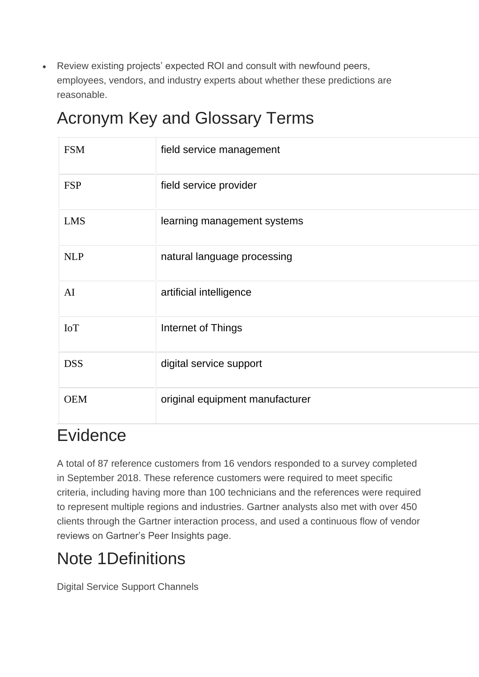• Review existing projects' expected ROI and consult with newfound peers, employees, vendors, and industry experts about whether these predictions are reasonable.

# Acronym Key and Glossary Terms

| <b>FSM</b> | field service management        |
|------------|---------------------------------|
| <b>FSP</b> | field service provider          |
| <b>LMS</b> | learning management systems     |
| <b>NLP</b> | natural language processing     |
| AI         | artificial intelligence         |
| <b>IoT</b> | Internet of Things              |
| <b>DSS</b> | digital service support         |
| <b>OEM</b> | original equipment manufacturer |

# Evidence

A total of 87 reference customers from 16 vendors responded to a survey completed in September 2018. These reference customers were required to meet specific criteria, including having more than 100 technicians and the references were required to represent multiple regions and industries. Gartner analysts also met with over 450 clients through the Gartner interaction process, and used a continuous flow of vendor reviews on Gartner's Peer Insights page.

# Note 1Definitions

Digital Service Support Channels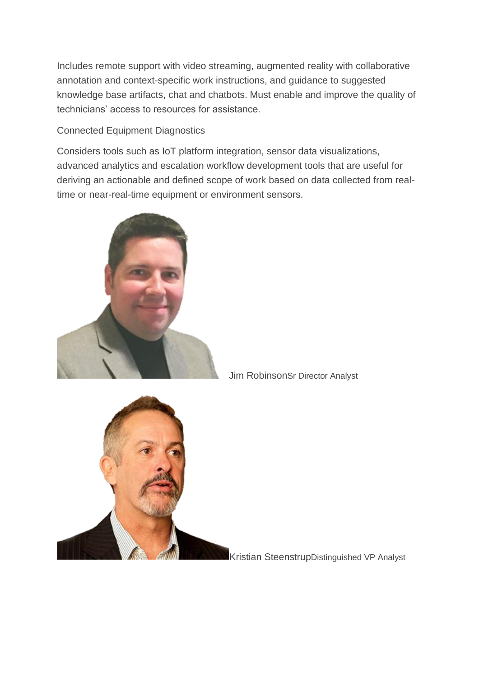Includes remote support with video streaming, augmented reality with collaborative annotation and context-specific work instructions, and guidance to suggested knowledge base artifacts, chat and chatbots. Must enable and improve the quality of technicians' access to resources for assistance.

#### Connected Equipment Diagnostics

Considers tools such as IoT platform integration, sensor data visualizations, advanced analytics and escalation workflow development tools that are useful for deriving an actionable and defined scope of work based on data collected from realtime or near-real-time equipment or environment sensors.





Jim RobinsonSr Director Analyst

Kristian SteenstrupDistinguished VP Analyst